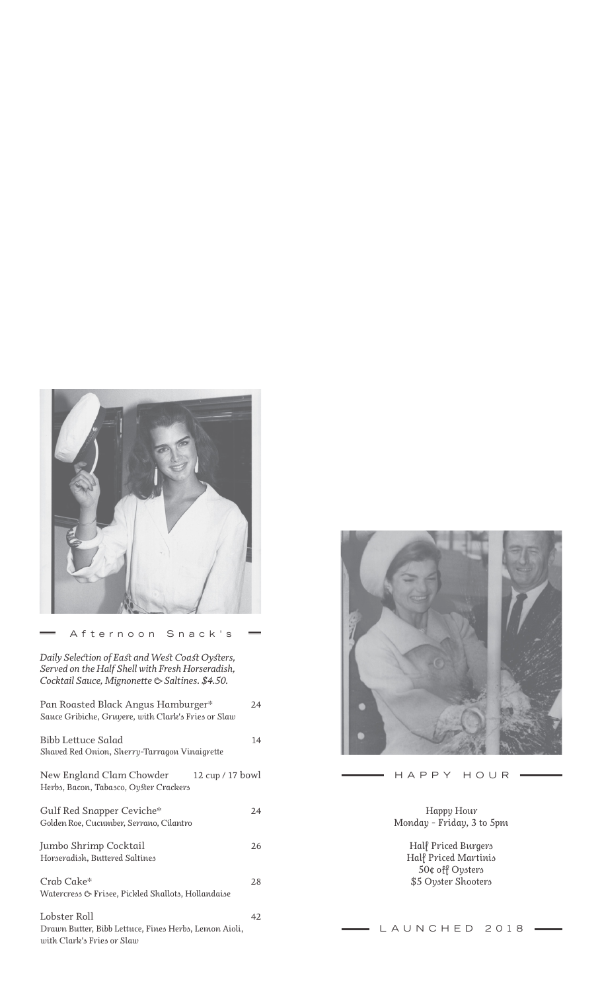

#### Afternoon Snack's

*Pan Roasted Black Angus Hamburger\* 24 Sauce Gribiche, Gruyere, with Clark's Fries or Slaw Bibb Lettuce Salad 14 Shaved Red Onion, Sherry-Tarragon Vinaigrette New England Clam Chowder 12 cup / 17 bowl Herbs, Bacon, Tabasco, Oyster Crackers Gulf Red Snapper Ceviche\* 24 Golden Roe, Cucumber, Serrano, Cilantro Jumbo Shrimp Cocktail 26 Horseradish, Buttered Saltines Crab Cake\* 28 Watercress & Frisee, Pickled Shallots, Hollandaise Lobster Roll 42 Drawn Butter, Bibb Lettuce, Fines Herbs, Lemon Aioli, with Clark's Fries or Slaw Daily Selection of East and West Coast Oysters, Served on the Half Shell with Fresh Horseradish, Cocktail Sauce, Mignonette & Saltines. \$4.50.*



HAPPY HOUR

 $\equiv$ 

*Happy Hour Monday - Friday, 3 to 5pm*

> *Half Priced Burgers Half Priced Martinis 50¢ off Oysters \$5 Oyster Shooters*

## LAUNCHED 2018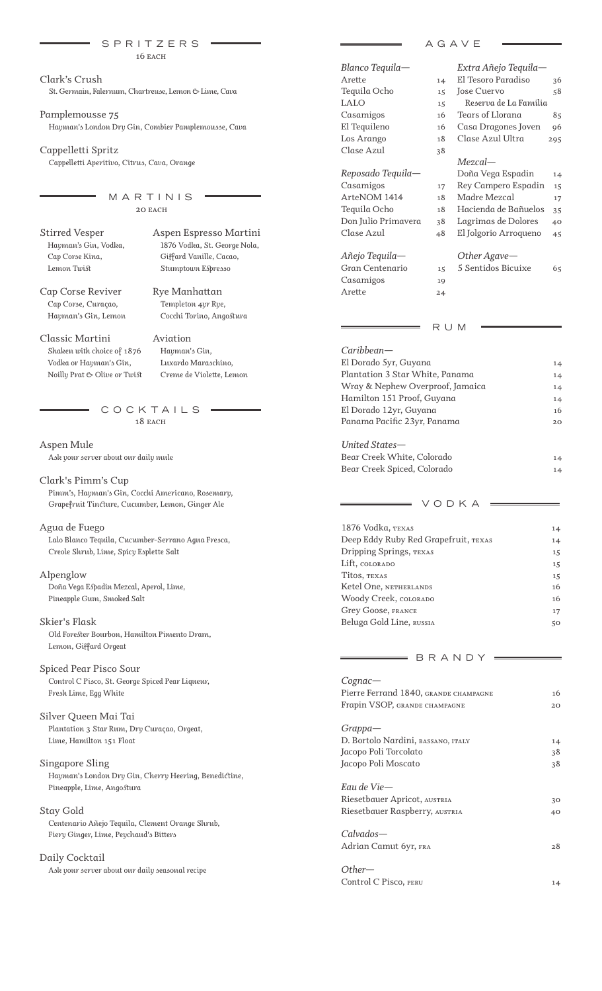|                                                       | SPRITZERS                                           |                                       | AGAVE                       |     |
|-------------------------------------------------------|-----------------------------------------------------|---------------------------------------|-----------------------------|-----|
|                                                       | $16$ EACH                                           |                                       |                             |     |
|                                                       |                                                     | Blanco Tequila-                       | Extra Añejo Tequila-        |     |
| Clark's Crush                                         |                                                     | Arette                                | El Tesoro Paradiso<br>14    | 36  |
| St. Germain, Falernum, Chartreuse, Lemon & Lime, Cava |                                                     | Tequila Ocho                          | <b>Iose Cuervo</b><br>15    | 58  |
|                                                       |                                                     | <b>LALO</b>                           | Reserva de La Familia<br>15 |     |
| Pamplemousse 75                                       |                                                     | Casamigos                             | Tears of Llorana<br>16      | 85  |
|                                                       | Hayman's London Dry Gin, Combier Pamplemousse, Cava | El Tequileno                          | Casa Dragones Joven<br>16   | 96  |
|                                                       |                                                     | Los Arango                            | Clase Azul Ultra<br>18      | 295 |
| Cappelletti Spritz                                    |                                                     | Clase Azul                            | 38                          |     |
| Cappelletti Aperitivo, Citrus, Cava, Orange           |                                                     |                                       | $Mezcal$ —                  |     |
|                                                       |                                                     | Reposado Tequila-                     | Doña Vega Espadin           | 14  |
|                                                       |                                                     | Casamigos                             | Rey Campero Espadin<br>17   | 15  |
|                                                       | MARTINIS                                            | ArteNOM 1414                          | Madre Mezcal<br>18          | 17  |
|                                                       | 20 EACH                                             | Tequila Ocho                          | Hacienda de Bañuelos<br>18  | 35  |
|                                                       |                                                     | Don Julio Primavera                   | Lagrimas de Dolores<br>38   | 40  |
| <b>Stirred Vesper</b>                                 | Aspen Espresso Martini                              | Clase Azul                            | El Jolgorio Arroqueno<br>48 | 45  |
| Hayman's Gin, Vodka,                                  | 1876 Vodka, St. George Nola,                        |                                       |                             |     |
| Cap Corse Kina,                                       | Giffard Vanille, Cacao,                             | Añejo Tequila-                        | Other Agave-                |     |
| Lemon Twist                                           | Stumptown Espresso                                  | Gran Centenario                       | 5 Sentidos Bicuixe<br>15    | 65  |
|                                                       |                                                     | Casamigos                             | 19                          |     |
| Cap Corse Reviver                                     | Rye Manhattan                                       | Arette                                | 24                          |     |
| Cap Corse, Curaçao,                                   | Templeton 4yr Rye,                                  |                                       |                             |     |
| Hayman's Gin, Lemon                                   | Cocchi Torino, Angostura                            |                                       |                             |     |
|                                                       |                                                     |                                       | R U M                       |     |
| Classic Martini                                       | Aviation                                            |                                       |                             |     |
| Shaken with choice of 1876                            | Hayman's Gin,                                       | Caribbean-                            |                             |     |
| Vodka or Hayman's Gin,                                | Luxardo Maraschino,                                 | El Dorado 5yr, Guyana                 |                             | 14  |
| Noilly Prat & Olive or Twist                          | Creme de Violette, Lemon                            | Plantation 3 Star White, Panama       |                             | 14  |
|                                                       |                                                     | Wray & Nephew Overproof, Jamaica      |                             | 14  |
|                                                       |                                                     | Hamilton 151 Proof, Guyana            |                             | 14  |
|                                                       | COCKTAILS                                           | El Dorado 12yr, Guyana                |                             | 16  |
|                                                       | 18 EACH                                             | Panama Pacific 23yr, Panama           |                             | 20  |
| Aspen Mule                                            |                                                     | United States-                        |                             |     |
| Ask your server about our daily mule                  |                                                     | Bear Creek White, Colorado            |                             | 14  |
|                                                       |                                                     | Bear Creek Spiced, Colorado           |                             | 14  |
| Clark's Pimm's Cup                                    |                                                     |                                       |                             |     |
| Pimm's, Hayman's Gin, Cocchi Americano, Rosemary,     |                                                     |                                       |                             |     |
| Grapefruit Tincture, Cucumber, Lemon, Ginger Ale      |                                                     |                                       | VODKA                       |     |
|                                                       |                                                     |                                       |                             |     |
| Agua de Fuego                                         |                                                     | 1876 Vodka, TEXAS                     |                             | 14  |
| Lalo Blanco Tequila, Cucumber-Serrano Agua Fresca,    |                                                     | Deep Eddy Ruby Red Grapefruit, TEXAS  |                             | 14  |
| Creole Shrub, Lime, Spicy Esplette Salt               |                                                     | Dripping Springs, TEXAS               |                             | 15  |
|                                                       |                                                     | Lift, COLORADO                        |                             | 15  |
| Alpenglow                                             |                                                     | Titos, TEXAS                          |                             | 15  |
| Doña Vega Espadin Mezcal, Aperol, Lime,               |                                                     | Ketel One, NETHERLANDS                |                             | 16  |
| Pineapple Gum, Smoked Salt                            |                                                     | Woody Creek, COLORADO                 |                             | 16  |
|                                                       |                                                     | Grey Goose, FRANCE                    |                             | 17  |
| Skier's Flask                                         |                                                     | Beluga Gold Line, RUSSIA              |                             | 50  |
| Old Forester Bourbon, Hamilton Pimento Dram,          |                                                     |                                       |                             |     |
| Lemon, Giffard Orgeat                                 |                                                     |                                       |                             |     |
| Spiced Pear Pisco Sour                                |                                                     |                                       | BRANDY                      |     |
| Control C Pisco, St. George Spiced Pear Liqueur,      |                                                     | $Cognac$ —                            |                             |     |
| Fresh Lime, Egg White                                 |                                                     | Pierre Ferrand 1840, GRANDE CHAMPAGNE |                             | 16  |
|                                                       |                                                     | Frapin VSOP, GRANDE CHAMPAGNE         |                             | 20  |
| Silver Queen Mai Tai                                  |                                                     |                                       |                             |     |
| Plantation 3 Star Rum, Dry Curaçao, Orgeat,           |                                                     | $Grapha-$                             |                             |     |
| Lime, Hamilton 151 Float                              |                                                     | D. Bortolo Nardini, BASSANO, ITALY    |                             | 14  |
|                                                       |                                                     | Jacopo Poli Torcolato                 |                             | 38  |
| Singapore Sling                                       |                                                     | Jacopo Poli Moscato                   |                             | 38  |
| Hayman's London Dry Gin, Cherry Heering, Benedictine, |                                                     |                                       |                             |     |
| Pineapple, Lime, Angostura                            |                                                     | Eau de Vie-                           |                             |     |
|                                                       |                                                     | Riesetbauer Apricot, AUSTRIA          |                             | 30  |
| Stay Gold                                             |                                                     | Riesetbauer Raspberry, AUSTRIA        |                             | 40  |

*Calvados—*

*Other—*

*Adrian Camut 6yr, fra 28*

*Control C Pisco, peru 14*

*Centenario Añejo Tequila, Clement Orange Shrub, Fiery Ginger, Lime, Peychaud's Bitters*

# *Daily Cocktail*

*Ask your server about our daily seasonal recipe*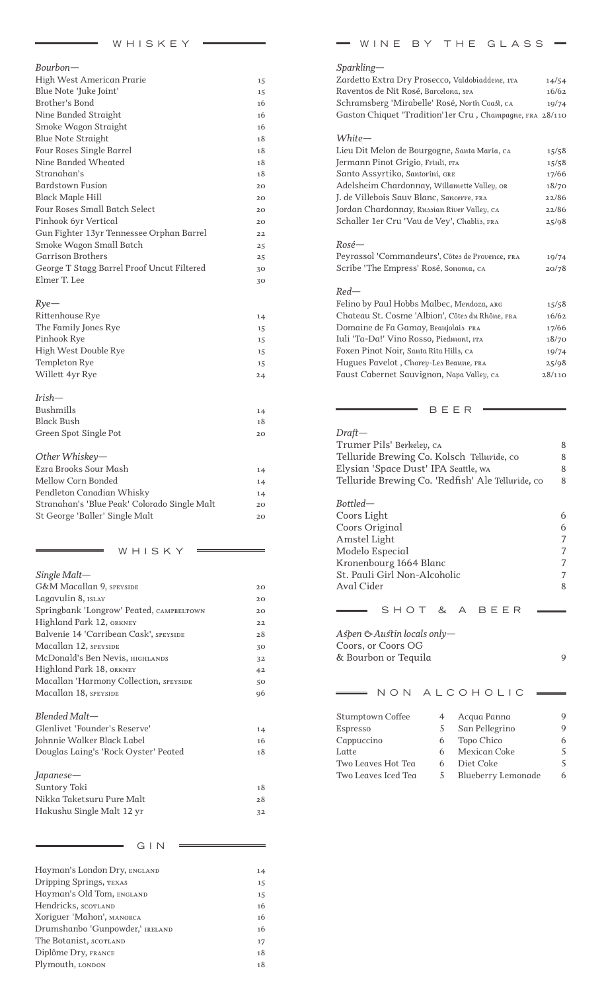| Bourbon-                                   |    |
|--------------------------------------------|----|
| High West American Prarie                  | 15 |
| Blue Note 'Juke Joint'                     | 15 |
| Brother's Bond                             | 16 |
| Nine Banded Straight                       | 16 |
| Smoke Wagon Straight                       | 16 |
| <b>Blue Note Straight</b>                  | 18 |
| Four Roses Single Barrel                   | 18 |
| Nine Banded Wheated                        | 18 |
| Stranghan's                                | 18 |
| <b>Bardstown Fusion</b>                    | 20 |
| <b>Black Maple Hill</b>                    | 20 |
| Four Roses Small Batch Select              | 20 |
| Pinhook 6yr Vertical                       | 20 |
| Gun Fighter 13yr Tennessee Orphan Barrel   | 22 |
| Smoke Wagon Small Batch                    | 25 |
| Garrison Brothers                          | 25 |
| George T Stagg Barrel Proof Uncut Filtered | 30 |
| Elmer T. Lee                               | 30 |
|                                            |    |
| $Rye-$                                     |    |
| Rittenhouse Rye                            | 14 |
| The Family Jones Rye                       | 15 |
| Pinhook Rye                                | 15 |
| High West Double Rye                       | 15 |
| Templeton Rye                              | 15 |
| Willett 4yr Rye                            | 24 |
|                                            |    |
| $Irish-$                                   |    |
| <b>Bushmills</b>                           | 14 |
| <b>Black Bush</b>                          | 18 |
| Green Spot Single Pot                      | 20 |
|                                            |    |

| Other Whiskey-                               |    |
|----------------------------------------------|----|
| Ezra Brooks Sour Mash                        | 14 |
| Mellow Corn Bonded                           | 14 |
| Pendleton Canadian Whisky                    | 14 |
| Stranahan's 'Blue Peak' Colorado Single Malt | 20 |
| St George 'Baller' Single Malt               | 20 |
|                                              |    |

WHISKY

| $Single$ Malt-                           |    |
|------------------------------------------|----|
| <b>G&amp;M Macallan 9, SPEYSIDE</b>      | 20 |
| Lagavulin 8, ISLAY                       | 20 |
| Springbank 'Longrow' Peated, CAMPBELTOWN | 20 |
| Highland Park 12, orkney                 | 22 |
| Balvenie 14 'Carribean Cask', speyside   | 28 |
| Macallan 12, speyside                    | 30 |
| McDonald's Ben Nevis, нісніанріз         | 32 |
| Highland Park 18, orkney                 | 42 |
| Macallan 'Harmony Collection, SPEYSIDE   | 50 |
| Macallan 18, SPEYSIDE                    | 96 |
| Blended Malt—                            |    |
| Glenlivet 'Founder's Reserve'            | 14 |
| Johnnie Walker Black Label               | 16 |
| Douglas Laing's 'Rock Oyster' Peated     | 18 |
| Japanese—                                |    |
| Suntory Toki                             | 18 |
| Nikka Taketsuru Pure Malt                | 28 |
|                                          |    |

*Hakushu Single Malt 12 yr 32*

GIN

| Hayman's London Dry, ENGLAND    | 14 |
|---------------------------------|----|
| Dripping Springs, TEXAS         | 15 |
| Hayman's Old Tom, ENGLAND       | 15 |
| Hendricks, SCOTLAND             | 16 |
| Xoriguer 'Mahon', MANORCA       | 16 |
| Drumshanbo 'Gunpowder,' IRELAND | 16 |
| The Botanist, SCOTLAND          | 17 |
| Diplôme Dry, FRANCE             | 18 |
| Plymouth, LONDON                | 18 |
|                                 |    |

| Zardetto Extra Dry Prosecco, Valdobiaddene, 1TA<br>14/54<br>Raventos de Nit Rosé, Barcelona, SPA<br>16/62<br>Schramsberg 'Mirabelle' Rosé, North Coast, CA<br>19/74<br>Gaston Chiquet 'Tradition'1er Cru, Champagne, FRA 28/110<br>White-<br>Lieu Dit Melon de Bourgogne, Santa Maria, CA<br>15/58<br>Jermann Pinot Grigio, Friuli, ITA<br>15/58<br>Santo Assyrtiko, Santorini, GRE<br>17/66<br>Adelsheim Chardonnay, Willamette Valley, OR<br>18/70<br>J. de Villebois Sauv Blanc, Sancerre, FRA<br>22/86<br>Jordan Chardonnay, Russian River Valley, CA<br>22/86<br>Schaller 1er Cru 'Vau de Vey', Chablis, FRA<br>25/98<br>Rosé—<br>Peyrassol 'Commandeurs', Côtes de Provence, FRA<br>19/74<br>Scribe 'The Empress' Rosé, Sonoma, CA<br>20/78<br>Red—<br>Felino by Paul Hobbs Malbec, Mendoza, ARG<br>15/58<br>Chateau St. Cosme 'Albion', Côtes du Rhône, FRA<br>16/62<br>Domaine de Fa Gamay, Beaujolais FRA<br>17/66<br>Iuli 'Ta-Da!' Vino Rosso, Piedmont, ITA<br>18/70<br>Foxen Pinot Noir, Santa Rita Hills, CA<br>19/74<br>Hugues Pavelot, Chorey-Les Beaune, FRA<br>25/98<br>Faust Cabernet Sauvignon, Napa Valley, CA<br>28/110<br>BEER |
|------------------------------------------------------------------------------------------------------------------------------------------------------------------------------------------------------------------------------------------------------------------------------------------------------------------------------------------------------------------------------------------------------------------------------------------------------------------------------------------------------------------------------------------------------------------------------------------------------------------------------------------------------------------------------------------------------------------------------------------------------------------------------------------------------------------------------------------------------------------------------------------------------------------------------------------------------------------------------------------------------------------------------------------------------------------------------------------------------------------------------------------------------|
|                                                                                                                                                                                                                                                                                                                                                                                                                                                                                                                                                                                                                                                                                                                                                                                                                                                                                                                                                                                                                                                                                                                                                      |
|                                                                                                                                                                                                                                                                                                                                                                                                                                                                                                                                                                                                                                                                                                                                                                                                                                                                                                                                                                                                                                                                                                                                                      |
|                                                                                                                                                                                                                                                                                                                                                                                                                                                                                                                                                                                                                                                                                                                                                                                                                                                                                                                                                                                                                                                                                                                                                      |
|                                                                                                                                                                                                                                                                                                                                                                                                                                                                                                                                                                                                                                                                                                                                                                                                                                                                                                                                                                                                                                                                                                                                                      |
|                                                                                                                                                                                                                                                                                                                                                                                                                                                                                                                                                                                                                                                                                                                                                                                                                                                                                                                                                                                                                                                                                                                                                      |
|                                                                                                                                                                                                                                                                                                                                                                                                                                                                                                                                                                                                                                                                                                                                                                                                                                                                                                                                                                                                                                                                                                                                                      |
|                                                                                                                                                                                                                                                                                                                                                                                                                                                                                                                                                                                                                                                                                                                                                                                                                                                                                                                                                                                                                                                                                                                                                      |
|                                                                                                                                                                                                                                                                                                                                                                                                                                                                                                                                                                                                                                                                                                                                                                                                                                                                                                                                                                                                                                                                                                                                                      |
|                                                                                                                                                                                                                                                                                                                                                                                                                                                                                                                                                                                                                                                                                                                                                                                                                                                                                                                                                                                                                                                                                                                                                      |
|                                                                                                                                                                                                                                                                                                                                                                                                                                                                                                                                                                                                                                                                                                                                                                                                                                                                                                                                                                                                                                                                                                                                                      |
|                                                                                                                                                                                                                                                                                                                                                                                                                                                                                                                                                                                                                                                                                                                                                                                                                                                                                                                                                                                                                                                                                                                                                      |
|                                                                                                                                                                                                                                                                                                                                                                                                                                                                                                                                                                                                                                                                                                                                                                                                                                                                                                                                                                                                                                                                                                                                                      |
|                                                                                                                                                                                                                                                                                                                                                                                                                                                                                                                                                                                                                                                                                                                                                                                                                                                                                                                                                                                                                                                                                                                                                      |
|                                                                                                                                                                                                                                                                                                                                                                                                                                                                                                                                                                                                                                                                                                                                                                                                                                                                                                                                                                                                                                                                                                                                                      |
|                                                                                                                                                                                                                                                                                                                                                                                                                                                                                                                                                                                                                                                                                                                                                                                                                                                                                                                                                                                                                                                                                                                                                      |
|                                                                                                                                                                                                                                                                                                                                                                                                                                                                                                                                                                                                                                                                                                                                                                                                                                                                                                                                                                                                                                                                                                                                                      |
|                                                                                                                                                                                                                                                                                                                                                                                                                                                                                                                                                                                                                                                                                                                                                                                                                                                                                                                                                                                                                                                                                                                                                      |
|                                                                                                                                                                                                                                                                                                                                                                                                                                                                                                                                                                                                                                                                                                                                                                                                                                                                                                                                                                                                                                                                                                                                                      |
|                                                                                                                                                                                                                                                                                                                                                                                                                                                                                                                                                                                                                                                                                                                                                                                                                                                                                                                                                                                                                                                                                                                                                      |
|                                                                                                                                                                                                                                                                                                                                                                                                                                                                                                                                                                                                                                                                                                                                                                                                                                                                                                                                                                                                                                                                                                                                                      |
|                                                                                                                                                                                                                                                                                                                                                                                                                                                                                                                                                                                                                                                                                                                                                                                                                                                                                                                                                                                                                                                                                                                                                      |
|                                                                                                                                                                                                                                                                                                                                                                                                                                                                                                                                                                                                                                                                                                                                                                                                                                                                                                                                                                                                                                                                                                                                                      |
|                                                                                                                                                                                                                                                                                                                                                                                                                                                                                                                                                                                                                                                                                                                                                                                                                                                                                                                                                                                                                                                                                                                                                      |
|                                                                                                                                                                                                                                                                                                                                                                                                                                                                                                                                                                                                                                                                                                                                                                                                                                                                                                                                                                                                                                                                                                                                                      |
|                                                                                                                                                                                                                                                                                                                                                                                                                                                                                                                                                                                                                                                                                                                                                                                                                                                                                                                                                                                                                                                                                                                                                      |
| Draft—                                                                                                                                                                                                                                                                                                                                                                                                                                                                                                                                                                                                                                                                                                                                                                                                                                                                                                                                                                                                                                                                                                                                               |
| Trumer Pils' Berkeley, ca<br>8                                                                                                                                                                                                                                                                                                                                                                                                                                                                                                                                                                                                                                                                                                                                                                                                                                                                                                                                                                                                                                                                                                                       |
| Telluride Brewing Co. Kolsch Telluride, co<br>8                                                                                                                                                                                                                                                                                                                                                                                                                                                                                                                                                                                                                                                                                                                                                                                                                                                                                                                                                                                                                                                                                                      |
| Elysian 'Space Dust' IPA Seattle, wa<br>8                                                                                                                                                                                                                                                                                                                                                                                                                                                                                                                                                                                                                                                                                                                                                                                                                                                                                                                                                                                                                                                                                                            |
| Telluride Brewing Co. 'Redfish' Ale Telluride, co<br>8                                                                                                                                                                                                                                                                                                                                                                                                                                                                                                                                                                                                                                                                                                                                                                                                                                                                                                                                                                                                                                                                                               |
| Bottled—                                                                                                                                                                                                                                                                                                                                                                                                                                                                                                                                                                                                                                                                                                                                                                                                                                                                                                                                                                                                                                                                                                                                             |
| Coors Light<br>6                                                                                                                                                                                                                                                                                                                                                                                                                                                                                                                                                                                                                                                                                                                                                                                                                                                                                                                                                                                                                                                                                                                                     |
| Coors Original<br>6                                                                                                                                                                                                                                                                                                                                                                                                                                                                                                                                                                                                                                                                                                                                                                                                                                                                                                                                                                                                                                                                                                                                  |
| 7<br>Amstel Light                                                                                                                                                                                                                                                                                                                                                                                                                                                                                                                                                                                                                                                                                                                                                                                                                                                                                                                                                                                                                                                                                                                                    |
| Modelo Especial<br>7                                                                                                                                                                                                                                                                                                                                                                                                                                                                                                                                                                                                                                                                                                                                                                                                                                                                                                                                                                                                                                                                                                                                 |
| 7<br>Kronenbourg 1664 Blanc                                                                                                                                                                                                                                                                                                                                                                                                                                                                                                                                                                                                                                                                                                                                                                                                                                                                                                                                                                                                                                                                                                                          |
| St. Pauli Girl Non-Alcoholic<br>7                                                                                                                                                                                                                                                                                                                                                                                                                                                                                                                                                                                                                                                                                                                                                                                                                                                                                                                                                                                                                                                                                                                    |
| <b>Aval Cider</b><br>8                                                                                                                                                                                                                                                                                                                                                                                                                                                                                                                                                                                                                                                                                                                                                                                                                                                                                                                                                                                                                                                                                                                               |
| SHOT<br>&<br>A BEER                                                                                                                                                                                                                                                                                                                                                                                                                                                                                                                                                                                                                                                                                                                                                                                                                                                                                                                                                                                                                                                                                                                                  |
|                                                                                                                                                                                                                                                                                                                                                                                                                                                                                                                                                                                                                                                                                                                                                                                                                                                                                                                                                                                                                                                                                                                                                      |
|                                                                                                                                                                                                                                                                                                                                                                                                                                                                                                                                                                                                                                                                                                                                                                                                                                                                                                                                                                                                                                                                                                                                                      |
| Aspen $\mathfrak{G}$ Austin locals only-                                                                                                                                                                                                                                                                                                                                                                                                                                                                                                                                                                                                                                                                                                                                                                                                                                                                                                                                                                                                                                                                                                             |
| Coors, or Coors OG<br>& Bourbon or Tequila<br>9                                                                                                                                                                                                                                                                                                                                                                                                                                                                                                                                                                                                                                                                                                                                                                                                                                                                                                                                                                                                                                                                                                      |
|                                                                                                                                                                                                                                                                                                                                                                                                                                                                                                                                                                                                                                                                                                                                                                                                                                                                                                                                                                                                                                                                                                                                                      |
| NON ALCOHOLIC                                                                                                                                                                                                                                                                                                                                                                                                                                                                                                                                                                                                                                                                                                                                                                                                                                                                                                                                                                                                                                                                                                                                        |

WINE BY THE GLASS =

| Stumptown Coffee    |    | Acqua Panna        | Q |
|---------------------|----|--------------------|---|
| Espresso            | 5. | San Pellegrino     | 9 |
| Cappuccino          | 6  | Topo Chico         | 6 |
| Latte               | 6  | Mexican Coke       | 5 |
| Two Leaves Hot Tea  |    | Diet Coke          | 5 |
| Two Leaves Iced Tea | 5. | Blueberry Lemonade | 6 |
|                     |    |                    |   |